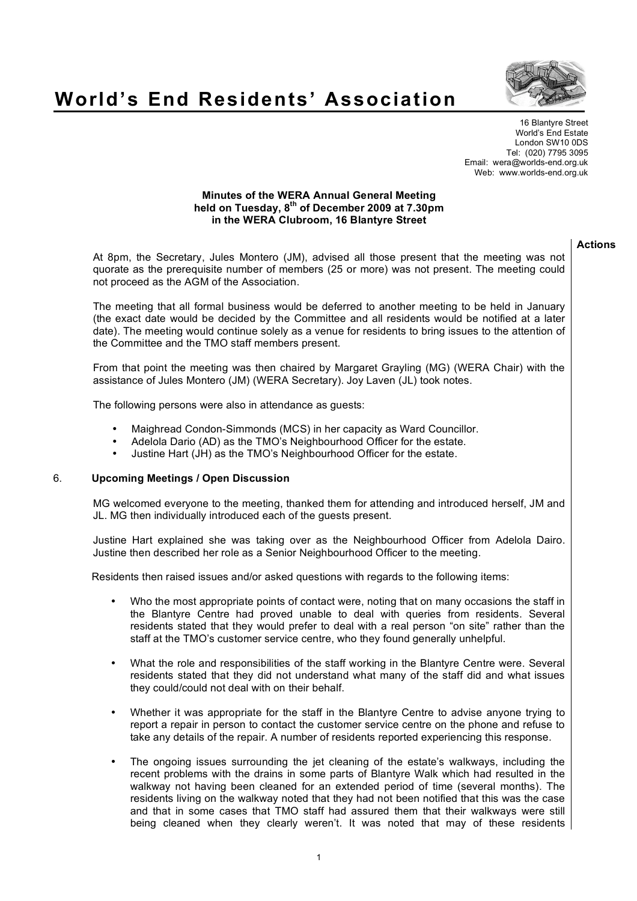

## **World's End Residents' Association**

16 Blantyre Street World's End Estate London SW10 0DS Tel: (020) 7795 3095 Email: wera@worlds-end.org.uk Web: www.worlds-end.org.uk

## **Minutes of the WERA Annual General Meeting held on Tuesday, 8th of December 2009 at 7.30pm in the WERA Clubroom, 16 Blantyre Street**

## **Actions**

At 8pm, the Secretary, Jules Montero (JM), advised all those present that the meeting was not quorate as the prerequisite number of members (25 or more) was not present. The meeting could not proceed as the AGM of the Association.

The meeting that all formal business would be deferred to another meeting to be held in January (the exact date would be decided by the Committee and all residents would be notified at a later date). The meeting would continue solely as a venue for residents to bring issues to the attention of the Committee and the TMO staff members present.

From that point the meeting was then chaired by Margaret Grayling (MG) (WERA Chair) with the assistance of Jules Montero (JM) (WERA Secretary). Joy Laven (JL) took notes.

The following persons were also in attendance as guests:

- Maighread Condon-Simmonds (MCS) in her capacity as Ward Councillor.
- Adelola Dario (AD) as the TMO's Neighbourhood Officer for the estate.
- Justine Hart (JH) as the TMO's Neighbourhood Officer for the estate.

## 6. **Upcoming Meetings / Open Discussion**

MG welcomed everyone to the meeting, thanked them for attending and introduced herself, JM and JL. MG then individually introduced each of the guests present.

Justine Hart explained she was taking over as the Neighbourhood Officer from Adelola Dairo. Justine then described her role as a Senior Neighbourhood Officer to the meeting.

Residents then raised issues and/or asked questions with regards to the following items:

- Who the most appropriate points of contact were, noting that on many occasions the staff in the Blantyre Centre had proved unable to deal with queries from residents. Several residents stated that they would prefer to deal with a real person "on site" rather than the staff at the TMO's customer service centre, who they found generally unhelpful.
- What the role and responsibilities of the staff working in the Blantyre Centre were. Several residents stated that they did not understand what many of the staff did and what issues they could/could not deal with on their behalf.
- Whether it was appropriate for the staff in the Blantyre Centre to advise anyone trying to report a repair in person to contact the customer service centre on the phone and refuse to take any details of the repair. A number of residents reported experiencing this response.
- The ongoing issues surrounding the jet cleaning of the estate's walkways, including the recent problems with the drains in some parts of Blantyre Walk which had resulted in the walkway not having been cleaned for an extended period of time (several months). The residents living on the walkway noted that they had not been notified that this was the case and that in some cases that TMO staff had assured them that their walkways were still being cleaned when they clearly weren't. It was noted that may of these residents